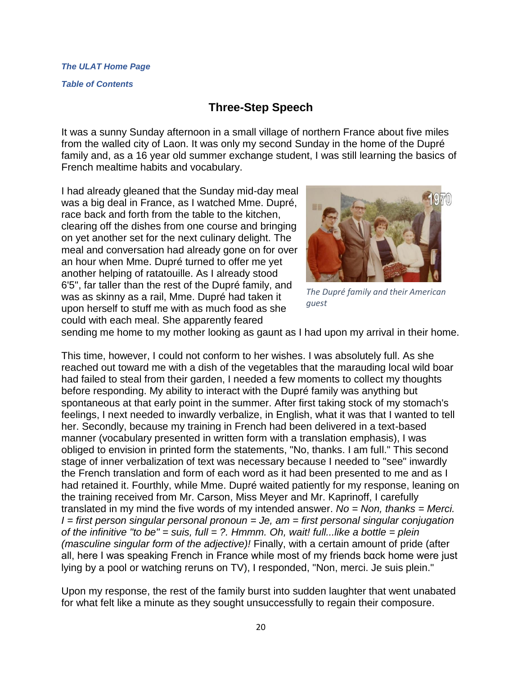*[Table of Contents](http://www.theulat.com/INOTHERWORDS/CONTENTS.PDF)*

## **Three-Step Speech**

It was a sunny Sunday afternoon in a small village of northern France about five miles from the walled city of Laon. It was only my second Sunday in the home of the Dupré family and, as a 16 year old summer exchange student, I was still learning the basics of French mealtime habits and vocabulary.

I had already gleaned that the Sunday mid-day meal was a big deal in France, as I watched Mme. Dupré, race back and forth from the table to the kitchen, clearing off the dishes from one course and bringing on yet another set for the next culinary delight. The meal and conversation had already gone on for over an hour when Mme. Dupré turned to offer me yet another helping of ratatouille. As I already stood 6'5", far taller than the rest of the Dupré family, and was as skinny as a rail, Mme. Dupré had taken it upon herself to stuff me with as much food as she could with each meal. She apparently feared



*The Dupré family and their American guest*

sending me home to my mother looking as gaunt as I had upon my arrival in their home.

This time, however, I could not conform to her wishes. I was absolutely full. As she reached out toward me with a dish of the vegetables that the marauding local wild boar had failed to steal from their garden, I needed a few moments to collect my thoughts before responding. My ability to interact with the Dupré family was anything but spontaneous at that early point in the summer. After first taking stock of my stomach's feelings, I next needed to inwardly verbalize, in English, what it was that I wanted to tell her. Secondly, because my training in French had been delivered in a text-based manner (vocabulary presented in written form with a translation emphasis), I was obliged to envision in printed form the statements, "No, thanks. I am full." This second stage of inner verbalization of text was necessary because I needed to "see" inwardly the French translation and form of each word as it had been presented to me and as I had retained it. Fourthly, while Mme. Dupré waited patiently for my response, leaning on the training received from Mr. Carson, Miss Meyer and Mr. Kaprinoff, I carefully translated in my mind the five words of my intended answer. *No = Non, thanks = Merci. I = first person singular personal pronoun = Je, am = first personal singular conjugation of the infinitive "to be" = suis, full = ?. Hmmm. Oh, wait! full...like a bottle = plein (masculine singular form of the adjective)!* Finally, with a certain amount of pride (after all, here I was speaking French in France while most of my friends bαck home were just lying by a pool or watching reruns on TV), I responded, "Non, merci. Je suis plein."

Upon my response, the rest of the family burst into sudden laughter that went unabated for what felt like a minute as they sought unsuccessfully to regain their composure.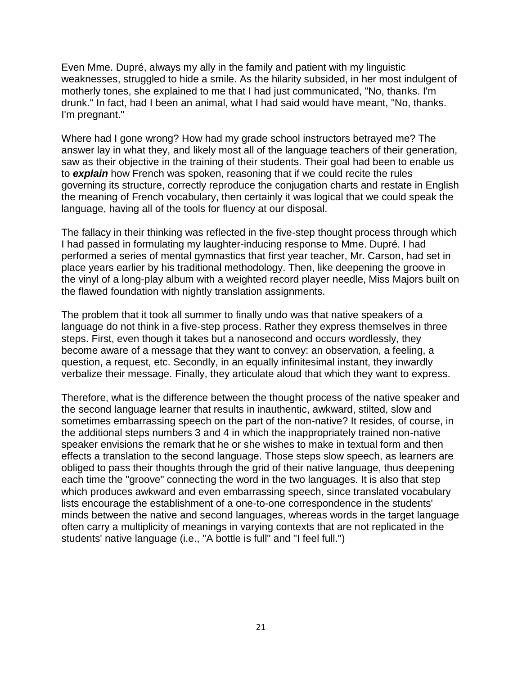Even Mme. Dupré, always my ally in the family and patient with my linguistic weaknesses, struggled to hide a smile. As the hilarity subsided, in her most indulgent of motherly tones, she explained to me that I had just communicated, "No, thanks. I'm drunk." In fact, had I been an animal, what I had said would have meant, "No, thanks. I'm pregnant."

Where had I gone wrong? How had my grade school instructors betrayed me? The answer lay in what they, and likely most all of the language teachers of their generation, saw as their objective in the training of their students. Their goal had been to enable us to *explain* how French was spoken, reasoning that if we could recite the rules governing its structure, correctly reproduce the conjugation charts and restate in English the meaning of French vocabulary, then certainly it was logical that we could speak the language, having all of the tools for fluency at our disposal.

The fallacy in their thinking was reflected in the five-step thought process through which I had passed in formulating my laughter-inducing response to Mme. Dupré. I had performed a series of mental gymnastics that first year teacher, Mr. Carson, had set in place years earlier by his traditional methodology. Then, like deepening the groove in the vinyl of a long-play album with a weighted record player needle, Miss Majors built on the flawed foundation with nightly translation assignments.

The problem that it took all summer to finally undo was that native speakers of a language do not think in a five-step process. Rather they express themselves in three steps. First, even though it takes but a nanosecond and occurs wordlessly, they become aware of a message that they want to convey: an observation, a feeling, a question, a request, etc. Secondly, in an equally infinitesimal instant, they inwardly verbalize their message. Finally, they articulate aloud that which they want to express.

Therefore, what is the difference between the thought process of the native speaker and the second language learner that results in inauthentic, awkward, stilted, slow and sometimes embarrassing speech on the part of the non-native? It resides, of course, in the additional steps numbers 3 and 4 in which the inappropriately trained non-native speaker envisions the remark that he or she wishes to make in textual form and then effects a translation to the second language. Those steps slow speech, as learners are obliged to pass their thoughts through the grid of their native language, thus deepening each time the "groove" connecting the word in the two languages. It is also that step which produces awkward and even embarrassing speech, since translated vocabulary lists encourage the establishment of a one-to-one correspondence in the students' minds between the native and second languages, whereas words in the target language often carry a multiplicity of meanings in varying contexts that are not replicated in the students' native language (i.e., "A bottle is full" and "I feel full.")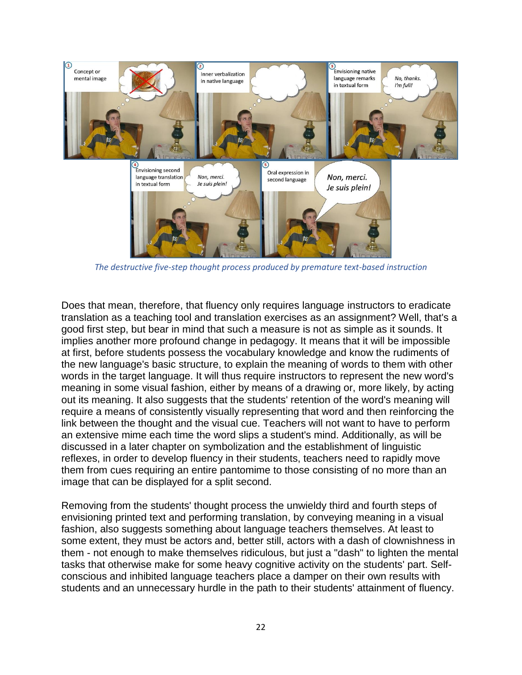

*The destructive five-step thought process produced by premature text-based instruction*

Does that mean, therefore, that fluency only requires language instructors to eradicate translation as a teaching tool and translation exercises as an assignment? Well, that's a good first step, but bear in mind that such a measure is not as simple as it sounds. It implies another more profound change in pedagogy. It means that it will be impossible at first, before students possess the vocabulary knowledge and know the rudiments of the new language's basic structure, to explain the meaning of words to them with other words in the target language. It will thus require instructors to represent the new word's meaning in some visual fashion, either by means of a drawing or, more likely, by acting out its meaning. It also suggests that the students' retention of the word's meaning will require a means of consistently visually representing that word and then reinforcing the link between the thought and the visual cue. Teachers will not want to have to perform an extensive mime each time the word slips a student's mind. Additionally, as will be discussed in a later chapter on symbolization and the establishment of linguistic reflexes, in order to develop fluency in their students, teachers need to rapidly move them from cues requiring an entire pantomime to those consisting of no more than an image that can be displayed for a split second.

Removing from the students' thought process the unwieldy third and fourth steps of envisioning printed text and performing translation, by conveying meaning in a visual fashion, also suggests something about language teachers themselves. At least to some extent, they must be actors and, better still, actors with a dash of clownishness in them - not enough to make themselves ridiculous, but just a "dash" to lighten the mental tasks that otherwise make for some heavy cognitive activity on the students' part. Selfconscious and inhibited language teachers place a damper on their own results with students and an unnecessary hurdle in the path to their students' attainment of fluency.